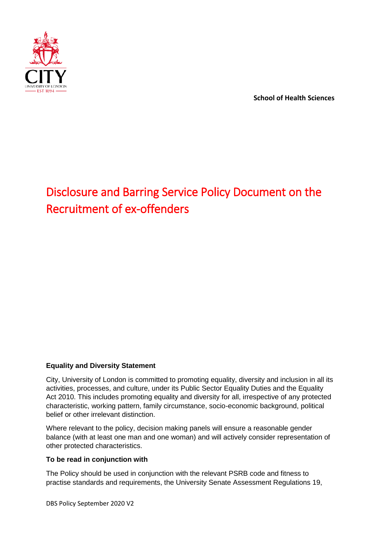<span id="page-0-0"></span>

**School of Health Sciences**

# Disclosure and Barring Service Policy Document on the Recruitment of ex-offenders

#### **Equality and Diversity Statement**

City, University of London is committed to promoting equality, diversity and inclusion in all its activities, processes, and culture, under its Public Sector Equality Duties and the Equality Act 2010. This includes promoting equality and diversity for all, irrespective of any protected characteristic, working pattern, family circumstance, socio-economic background, political belief or other irrelevant distinction.

Where relevant to the policy, decision making panels will ensure a reasonable gender balance (with at least one man and one woman) and will actively consider representation of other protected characteristics.

#### **To be read in conjunction with**

The Policy should be used in conjunction with the relevant PSRB code and fitness to practise standards and requirements, the University Senate Assessment Regulations 19,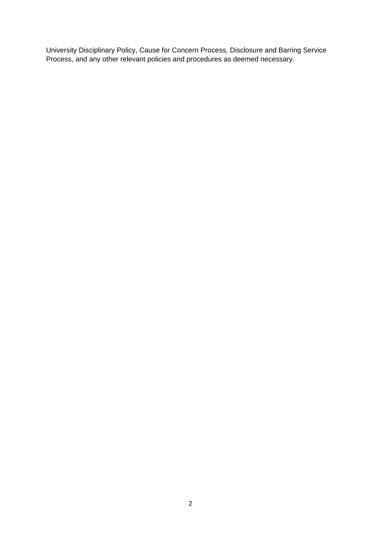University Disciplinary Policy, Cause for Concern Process, Disclosure and Barring Service Process, and any other relevant policies and procedures as deemed necessary.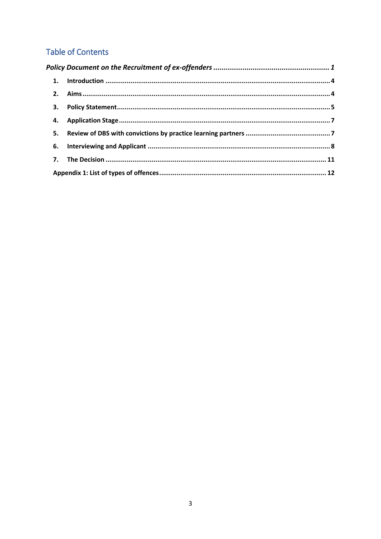## **Table of Contents**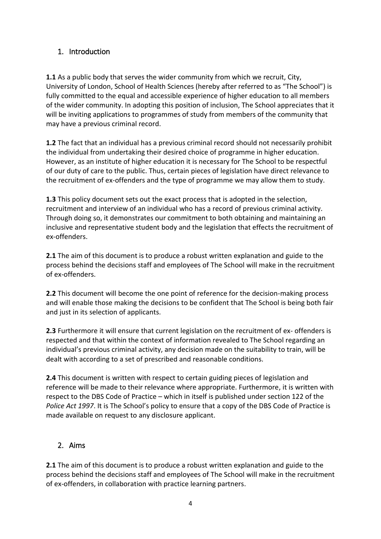## <span id="page-3-0"></span>1. Introduction

**1.1** As a public body that serves the wider community from which we recruit, City, University of London, School of Health Sciences (hereby after referred to as "The School") is fully committed to the equal and accessible experience of higher education to all members of the wider community. In adopting this position of inclusion, The School appreciates that it will be inviting applications to programmes of study from members of the community that may have a previous criminal record.

**1.2** The fact that an individual has a previous criminal record should not necessarily prohibit the individual from undertaking their desired choice of programme in higher education. However, as an institute of higher education it is necessary for The School to be respectful of our duty of care to the public. Thus, certain pieces of legislation have direct relevance to the recruitment of ex-offenders and the type of programme we may allow them to study.

**1.3** This policy document sets out the exact process that is adopted in the selection, recruitment and interview of an individual who has a record of previous criminal activity. Through doing so, it demonstrates our commitment to both obtaining and maintaining an inclusive and representative student body and the legislation that effects the recruitment of ex-offenders.

**2.1** The aim of this document is to produce a robust written explanation and guide to the process behind the decisions staff and employees of The School will make in the recruitment of ex-offenders.

**2.2** This document will become the one point of reference for the decision-making process and will enable those making the decisions to be confident that The School is being both fair and just in its selection of applicants.

**2.3** Furthermore it will ensure that current legislation on the recruitment of ex- offenders is respected and that within the context of information revealed to The School regarding an individual's previous criminal activity, any decision made on the suitability to train, will be dealt with according to a set of prescribed and reasonable conditions.

**2.4** This document is written with respect to certain guiding pieces of legislation and reference will be made to their relevance where appropriate. Furthermore, it is written with respect to the DBS Code of Practice – which in itself is published under section 122 of the *Police Act 1997*. It is The School's policy to ensure that a copy of the DBS Code of Practice is made available on request to any disclosure applicant.

## <span id="page-3-1"></span>2. Aims

**2.1** The aim of this document is to produce a robust written explanation and guide to the process behind the decisions staff and employees of The School will make in the recruitment of ex-offenders, in collaboration with practice learning partners.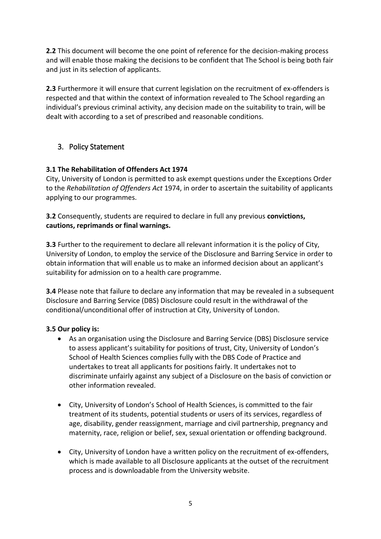**2.2** This document will become the one point of reference for the decision-making process and will enable those making the decisions to be confident that The School is being both fair and just in its selection of applicants.

**2.3** Furthermore it will ensure that current legislation on the recruitment of ex-offenders is respected and that within the context of information revealed to The School regarding an individual's previous criminal activity, any decision made on the suitability to train, will be dealt with according to a set of prescribed and reasonable conditions.

## <span id="page-4-0"></span>3. Policy Statement

#### **3.1 The Rehabilitation of Offenders Act 1974**

City, University of London is permitted to ask exempt questions under the Exceptions Order to the *Rehabilitation of Offenders Act* 1974, in order to ascertain the suitability of applicants applying to our programmes.

**3.2** Consequently, students are required to declare in full any previous **convictions, cautions, reprimands or final warnings.** 

**3.3** Further to the requirement to declare all relevant information it is the policy of City, University of London, to employ the service of the Disclosure and Barring Service in order to obtain information that will enable us to make an informed decision about an applicant's suitability for admission on to a health care programme.

**3.4** Please note that failure to declare any information that may be revealed in a subsequent Disclosure and Barring Service (DBS) Disclosure could result in the withdrawal of the conditional/unconditional offer of instruction at City, University of London.

#### **3.5 Our policy is:**

- As an organisation using the Disclosure and Barring Service (DBS) Disclosure service to assess applicant's suitability for positions of trust, City, University of London's School of Health Sciences complies fully with the DBS Code of Practice and undertakes to treat all applicants for positions fairly. It undertakes not to discriminate unfairly against any subject of a Disclosure on the basis of conviction or other information revealed.
- City, University of London's School of Health Sciences, is committed to the fair treatment of its students, potential students or users of its services, regardless of age, disability, gender reassignment, marriage and civil partnership, pregnancy and maternity, race, religion or belief, sex, sexual orientation or offending background.
- City, University of London have a written policy on the recruitment of ex-offenders, which is made available to all Disclosure applicants at the outset of the recruitment process and is downloadable from the University website.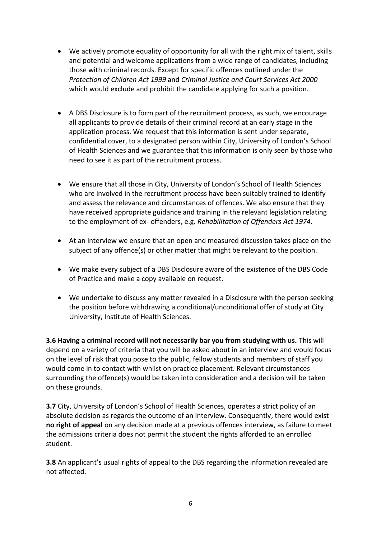- We actively promote equality of opportunity for all with the right mix of talent, skills and potential and welcome applications from a wide range of candidates, including those with criminal records. Except for specific offences outlined under the *Protection of Children Act 1999* and *Criminal Justice and Court Services Act 2000*  which would exclude and prohibit the candidate applying for such a position.
- A DBS Disclosure is to form part of the recruitment process, as such, we encourage all applicants to provide details of their criminal record at an early stage in the application process. We request that this information is sent under separate, confidential cover, to a designated person within City, University of London's School of Health Sciences and we guarantee that this information is only seen by those who need to see it as part of the recruitment process.
- We ensure that all those in City, University of London's School of Health Sciences who are involved in the recruitment process have been suitably trained to identify and assess the relevance and circumstances of offences. We also ensure that they have received appropriate guidance and training in the relevant legislation relating to the employment of ex- offenders, e.g. *Rehabilitation of Offenders Act 1974*.
- At an interview we ensure that an open and measured discussion takes place on the subject of any offence(s) or other matter that might be relevant to the position.
- We make every subject of a DBS Disclosure aware of the existence of the DBS Code of Practice and make a copy available on request.
- We undertake to discuss any matter revealed in a Disclosure with the person seeking the position before withdrawing a conditional/unconditional offer of study at City University, Institute of Health Sciences.

**3.6 Having a criminal record will not necessarily bar you from studying with us.** This will depend on a variety of criteria that you will be asked about in an interview and would focus on the level of risk that you pose to the public, fellow students and members of staff you would come in to contact with whilst on practice placement. Relevant circumstances surrounding the offence(s) would be taken into consideration and a decision will be taken on these grounds.

**3.7** City, University of London's School of Health Sciences, operates a strict policy of an absolute decision as regards the outcome of an interview. Consequently, there would exist **no right of appeal** on any decision made at a previous offences interview, as failure to meet the admissions criteria does not permit the student the rights afforded to an enrolled student.

**3.8** An applicant's usual rights of appeal to the DBS regarding the information revealed are not affected.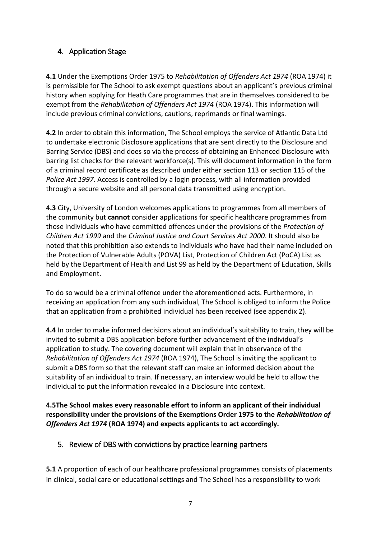## <span id="page-6-0"></span>4. Application Stage

**4.1** Under the Exemptions Order 1975 to *Rehabilitation of Offenders Act 1974* (ROA 1974) it is permissible for The School to ask exempt questions about an applicant's previous criminal history when applying for Heath Care programmes that are in themselves considered to be exempt from the *Rehabilitation of Offenders Act 1974* (ROA 1974). This information will include previous criminal convictions, cautions, reprimands or final warnings.

**4.2** In order to obtain this information, The School employs the service of Atlantic Data Ltd to undertake electronic Disclosure applications that are sent directly to the Disclosure and Barring Service (DBS) and does so via the process of obtaining an Enhanced Disclosure with barring list checks for the relevant workforce(s). This will document information in the form of a criminal record certificate as described under either section 113 or section 115 of the *Police Act 1997*. Access is controlled by a login process, with all information provided through a secure website and all personal data transmitted using encryption.

**4.3** City, University of London welcomes applications to programmes from all members of the community but **cannot** consider applications for specific healthcare programmes from those individuals who have committed offences under the provisions of the *Protection of Children Act 1999* and the *Criminal Justice and Court Services Act 2000*. It should also be noted that this prohibition also extends to individuals who have had their name included on the Protection of Vulnerable Adults (POVA) List, Protection of Children Act (PoCA) List as held by the Department of Health and List 99 as held by the Department of Education, Skills and Employment.

To do so would be a criminal offence under the aforementioned acts. Furthermore, in receiving an application from any such individual, The School is obliged to inform the Police that an application from a prohibited individual has been received (see appendix 2).

**4.4** In order to make informed decisions about an individual's suitability to train, they will be invited to submit a DBS application before further advancement of the individual's application to study. The covering document will explain that in observance of the *Rehabilitation of Offenders Act 1974* (ROA 1974), The School is inviting the applicant to submit a DBS form so that the relevant staff can make an informed decision about the suitability of an individual to train. If necessary, an interview would be held to allow the individual to put the information revealed in a Disclosure into context.

**4.5The School makes every reasonable effort to inform an applicant of their individual responsibility under the provisions of the Exemptions Order 1975 to the** *Rehabilitation of Offenders Act 1974* **(ROA 1974) and expects applicants to act accordingly.** 

## <span id="page-6-1"></span>5. Review of DBS with convictions by practice learning partners

**5.1** A proportion of each of our healthcare professional programmes consists of placements in clinical, social care or educational settings and The School has a responsibility to work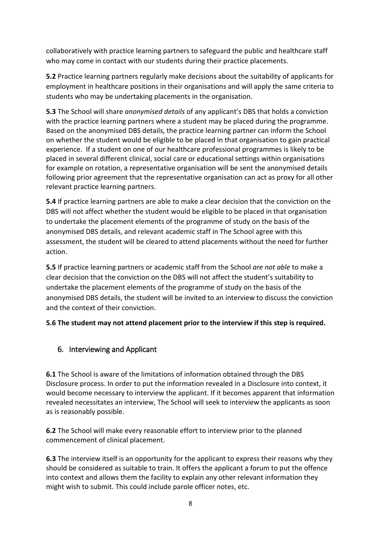collaboratively with practice learning partners to safeguard the public and healthcare staff who may come in contact with our students during their practice placements.

**5.2** Practice learning partners regularly make decisions about the suitability of applicants for employment in healthcare positions in their organisations and will apply the same criteria to students who may be undertaking placements in the organisation.

**5.3** The School will share *anonymised details* of any applicant's DBS that holds a conviction with the practice learning partners where a student may be placed during the programme. Based on the anonymised DBS details, the practice learning partner can inform the School on whether the student would be eligible to be placed in that organisation to gain practical experience. If a student on one of our healthcare professional programmes is likely to be placed in several different clinical, social care or educational settings within organisations for example on rotation, a representative organisation will be sent the anonymised details following prior agreement that the representative organisation can act as proxy for all other relevant practice learning partners.

**5.4** If practice learning partners are able to make a clear decision that the conviction on the DBS will not affect whether the student would be eligible to be placed in that organisation to undertake the placement elements of the programme of study on the basis of the anonymised DBS details, and relevant academic staff in The School agree with this assessment, the student will be cleared to attend placements without the need for further action.

**5.5** If practice learning partners or academic staff from the School *are not able* to make a clear decision that the conviction on the DBS will not affect the student's suitability to undertake the placement elements of the programme of study on the basis of the anonymised DBS details, the student will be invited to an interview to discuss the conviction and the context of their conviction.

**5.6 The student may not attend placement prior to the interview if this step is required.**

## <span id="page-7-0"></span>6. Interviewing and Applicant

**6.1** The School is aware of the limitations of information obtained through the DBS Disclosure process. In order to put the information revealed in a Disclosure into context, it would become necessary to interview the applicant. If it becomes apparent that information revealed necessitates an interview, The School will seek to interview the applicants as soon as is reasonably possible.

**6.2** The School will make every reasonable effort to interview prior to the planned commencement of clinical placement.

**6.3** The interview itself is an opportunity for the applicant to express their reasons why they should be considered as suitable to train. It offers the applicant a forum to put the offence into context and allows them the facility to explain any other relevant information they might wish to submit. This could include parole officer notes, etc.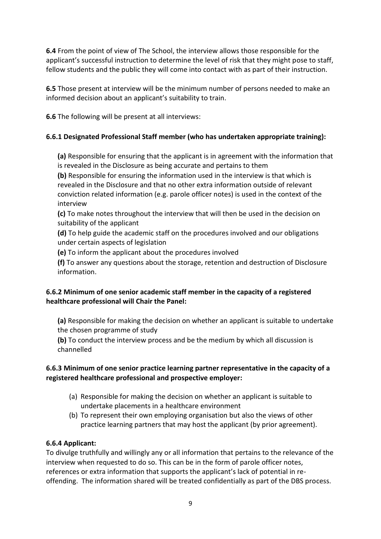**6.4** From the point of view of The School, the interview allows those responsible for the applicant's successful instruction to determine the level of risk that they might pose to staff, fellow students and the public they will come into contact with as part of their instruction.

**6.5** Those present at interview will be the minimum number of persons needed to make an informed decision about an applicant's suitability to train.

**6.6** The following will be present at all interviews:

#### **6.6.1 Designated Professional Staff member (who has undertaken appropriate training):**

**(a)** Responsible for ensuring that the applicant is in agreement with the information that is revealed in the Disclosure as being accurate and pertains to them

**(b)** Responsible for ensuring the information used in the interview is that which is revealed in the Disclosure and that no other extra information outside of relevant conviction related information (e.g. parole officer notes) is used in the context of the interview

**(c)** To make notes throughout the interview that will then be used in the decision on suitability of the applicant

**(d)** To help guide the academic staff on the procedures involved and our obligations under certain aspects of legislation

**(e)** To inform the applicant about the procedures involved

**(f)** To answer any questions about the storage, retention and destruction of Disclosure information.

#### **6.6.2 Minimum of one senior academic staff member in the capacity of a registered healthcare professional will Chair the Panel:**

**(a)** Responsible for making the decision on whether an applicant is suitable to undertake the chosen programme of study

**(b)** To conduct the interview process and be the medium by which all discussion is channelled

#### **6.6.3 Minimum of one senior practice learning partner representative in the capacity of a registered healthcare professional and prospective employer:**

- (a) Responsible for making the decision on whether an applicant is suitable to undertake placements in a healthcare environment
- (b) To represent their own employing organisation but also the views of other practice learning partners that may host the applicant (by prior agreement).

#### **6.6.4 Applicant:**

To divulge truthfully and willingly any or all information that pertains to the relevance of the interview when requested to do so. This can be in the form of parole officer notes, references or extra information that supports the applicant's lack of potential in reoffending. The information shared will be treated confidentially as part of the DBS process.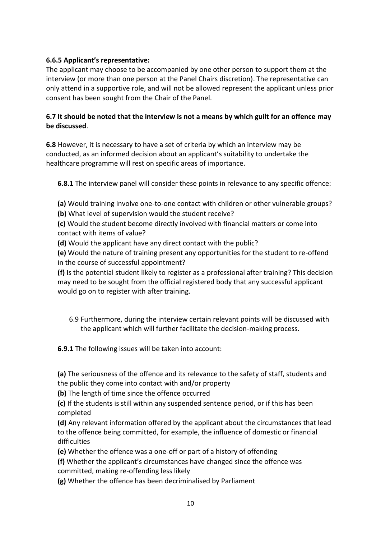#### **6.6.5 Applicant's representative:**

The applicant may choose to be accompanied by one other person to support them at the interview (or more than one person at the Panel Chairs discretion). The representative can only attend in a supportive role, and will not be allowed represent the applicant unless prior consent has been sought from the Chair of the Panel.

#### **6.7 It should be noted that the interview is not a means by which guilt for an offence may be discussed**.

**6.8** However, it is necessary to have a set of criteria by which an interview may be conducted, as an informed decision about an applicant's suitability to undertake the healthcare programme will rest on specific areas of importance.

**6.8.1** The interview panel will consider these points in relevance to any specific offence:

**(a)** Would training involve one-to-one contact with children or other vulnerable groups?

**(b)** What level of supervision would the student receive?

**(c)** Would the student become directly involved with financial matters or come into contact with items of value?

**(d)** Would the applicant have any direct contact with the public?

**(e)** Would the nature of training present any opportunities for the student to re-offend in the course of successful appointment?

**(f)** Is the potential student likely to register as a professional after training? This decision may need to be sought from the official registered body that any successful applicant would go on to register with after training.

6.9 Furthermore, during the interview certain relevant points will be discussed with the applicant which will further facilitate the decision-making process.

**6.9.1** The following issues will be taken into account:

**(a)** The seriousness of the offence and its relevance to the safety of staff, students and the public they come into contact with and/or property

**(b)** The length of time since the offence occurred

**(c)** If the students is still within any suspended sentence period, or if this has been completed

**(d)** Any relevant information offered by the applicant about the circumstances that lead to the offence being committed, for example, the influence of domestic or financial difficulties

**(e)** Whether the offence was a one-off or part of a history of offending

**(f)** Whether the applicant's circumstances have changed since the offence was committed, making re-offending less likely

**(g)** Whether the offence has been decriminalised by Parliament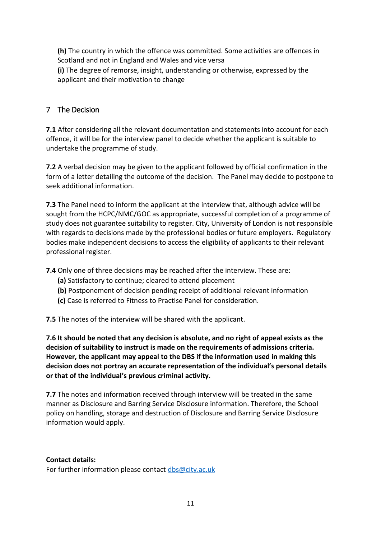**(h)** The country in which the offence was committed. Some activities are offences in Scotland and not in England and Wales and vice versa **(i)** The degree of remorse, insight, understanding or otherwise, expressed by the applicant and their motivation to change

#### <span id="page-10-0"></span>7 The Decision

**7.1** After considering all the relevant documentation and statements into account for each offence, it will be for the interview panel to decide whether the applicant is suitable to undertake the programme of study.

**7.2** A verbal decision may be given to the applicant followed by official confirmation in the form of a letter detailing the outcome of the decision. The Panel may decide to postpone to seek additional information.

**7.3** The Panel need to inform the applicant at the interview that, although advice will be sought from the HCPC/NMC/GOC as appropriate, successful completion of a programme of study does not guarantee suitability to register. City, University of London is not responsible with regards to decisions made by the professional bodies or future employers. Regulatory bodies make independent decisions to access the eligibility of applicants to their relevant professional register.

**7.4** Only one of three decisions may be reached after the interview. These are:

- **(a)** Satisfactory to continue; cleared to attend placement
- **(b)** Postponement of decision pending receipt of additional relevant information
- **(c)** Case is referred to Fitness to Practise Panel for consideration.

**7.5** The notes of the interview will be shared with the applicant.

**7.6 It should be noted that any decision is absolute, and no right of appeal exists as the decision of suitability to instruct is made on the requirements of admissions criteria. However, the applicant may appeal to the DBS if the information used in making this decision does not portray an accurate representation of the individual's personal details or that of the individual's previous criminal activity.** 

**7.7** The notes and information received through interview will be treated in the same manner as Disclosure and Barring Service Disclosure information. Therefore, the School policy on handling, storage and destruction of Disclosure and Barring Service Disclosure information would apply.

#### **Contact details:**

For further information please contact [dbs@city.ac.uk](mailto:dbs@city.ac.uk)